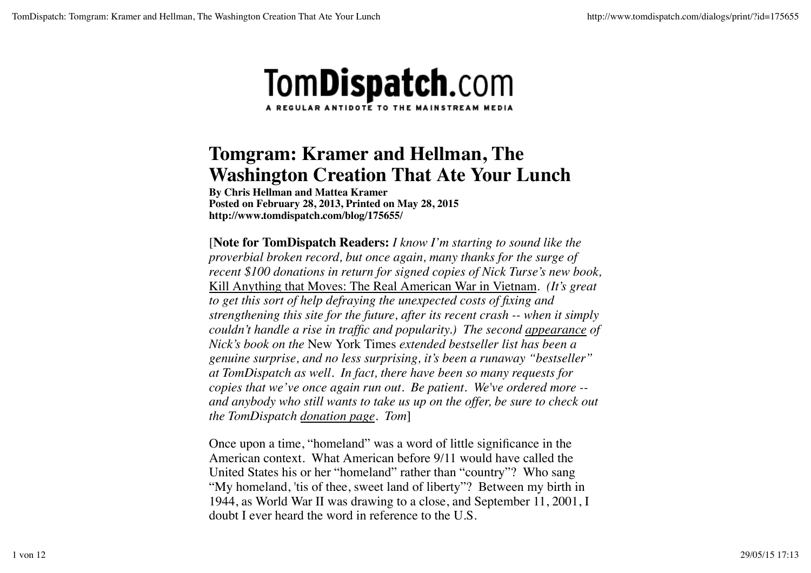

## **Tomgram: Kramer and Hellman, The Washington Creation That Ate Your Lunch**

**By Chris Hellman and Mattea Kramer Posted on February 28, 2013, Printed on May 28, 2015 http://www.tomdispatch.com/blog/175655/**

[**Note for TomDispatch Readers:** *I know I'm starting to sound like the proverbial broken record, but once again, many thanks for the surge of recent \$100 donations in return for signed copies of Nick Turse's new book,* Kill Anything that Moves: The Real American War in Vietnam*. (It's great to get this sort of help defraying the unexpected costs of fixing and strengthening this site for the future, after its recent crash -- when it simply couldn't handle a rise in traffic and popularity.) The second appearance of Nick's book on the* New York Times *extended bestseller list has been a genuine surprise, and no less surprising, it's been a runaway "bestseller" at TomDispatch as well. In fact, there have been so many requests for copies that we've once again run out. Be patient. We've ordered more - and anybody who still wants to take us up on the offer, be sure to check out the TomDispatch donation page. Tom*]

Once upon a time, "homeland" was a word of little significance in the American context. What American before 9/11 would have called the United States his or her "homeland" rather than "country"? Who sang "My homeland, 'tis of thee, sweet land of liberty"? Between my birth in 1944, as World War II was drawing to a close, and September 11, 2001, I doubt I ever heard the word in reference to the U.S.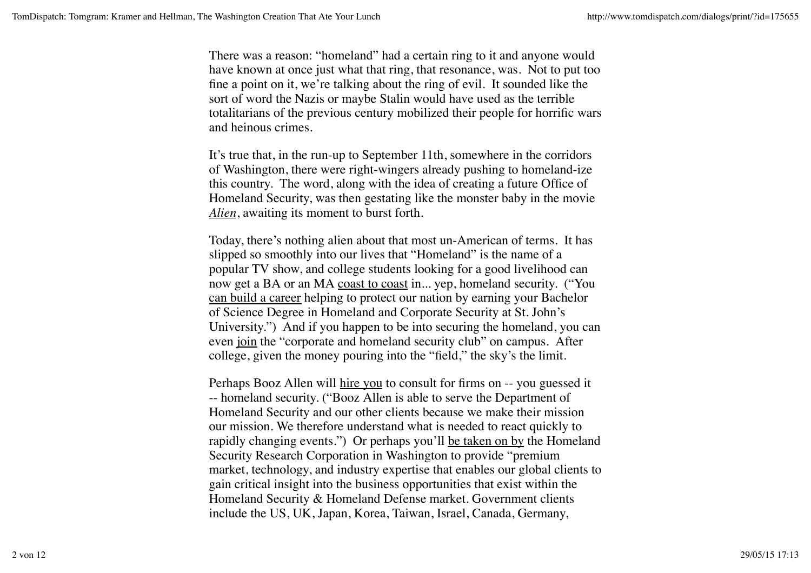There was a reason: "homeland" had a certain ring to it and anyone would have known at once just what that ring, that resonance, was. Not to put too fine a point on it, we're talking about the ring of evil. It sounded like the sort of word the Nazis or maybe Stalin would have used as the terrible totalitarians of the previous century mobilized their people for horrific wars and heinous crimes.

It's true that, in the run-up to September 11th, somewhere in the corridors of Washington, there were right-wingers already pushing to homeland-ize this country. The word, along with the idea of creating a future Office of Homeland Security, was then gestating like the monster baby in the movie *Alien*, awaiting its moment to burst forth.

Today, there's nothing alien about that most un-American of terms. It has slipped so smoothly into our lives that "Homeland" is the name of a popular TV show, and college students looking for a good livelihood can now get a BA or an MA coast to coast in... yep, homeland security. ("You can build a career helping to protect our nation by earning your Bachelor of Science Degree in Homeland and Corporate Security at St. John's University.") And if you happen to be into securing the homeland, you can even join the "corporate and homeland security club" on campus. After college, given the money pouring into the "field," the sky's the limit.

Perhaps Booz Allen will hire you to consult for firms on -- you guessed it -- homeland security. ("Booz Allen is able to serve the Department of Homeland Security and our other clients because we make their mission our mission. We therefore understand what is needed to react quickly to rapidly changing events.") Or perhaps you'll be taken on by the Homeland Security Research Corporation in Washington to provide "premium market, technology, and industry expertise that enables our global clients to gain critical insight into the business opportunities that exist within the Homeland Security & Homeland Defense market. Government clients include the US, UK, Japan, Korea, Taiwan, Israel, Canada, Germany,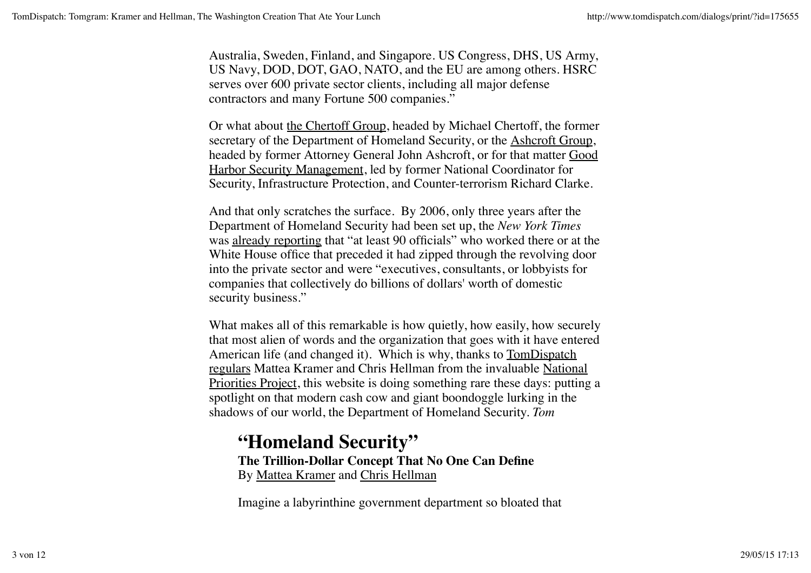Australia, Sweden, Finland, and Singapore. US Congress, DHS, US Army, US Navy, DOD, DOT, GAO, NATO, and the EU are among others. HSRC serves over 600 private sector clients, including all major defense contractors and many Fortune 500 companies."

Or what about the Chertoff Group, headed by Michael Chertoff, the former secretary of the Department of Homeland Security, or the Ashcroft Group, headed by former Attorney General John Ashcroft, or for that matter Good Harbor Security Management, led by former National Coordinator for Security, Infrastructure Protection, and Counter-terrorism Richard Clarke.

And that only scratches the surface. By 2006, only three years after the Department of Homeland Security had been set up, the *New York Times* was already reporting that "at least 90 officials" who worked there or at the White House office that preceded it had zipped through the revolving door into the private sector and were "executives, consultants, or lobbyists for companies that collectively do billions of dollars' worth of domestic security business."

What makes all of this remarkable is how quietly, how easily, how securely that most alien of words and the organization that goes with it have entered American life (and changed it). Which is why, thanks to TomDispatch regulars Mattea Kramer and Chris Hellman from the invaluable National Priorities Project, this website is doing something rare these days: putting a spotlight on that modern cash cow and giant boondoggle lurking in the shadows of our world, the Department of Homeland Security. *Tom*

## **"Homeland Security" The Trillion-Dollar Concept That No One Can Define** By Mattea Kramer and Chris Hellman

Imagine a labyrinthine government department so bloated that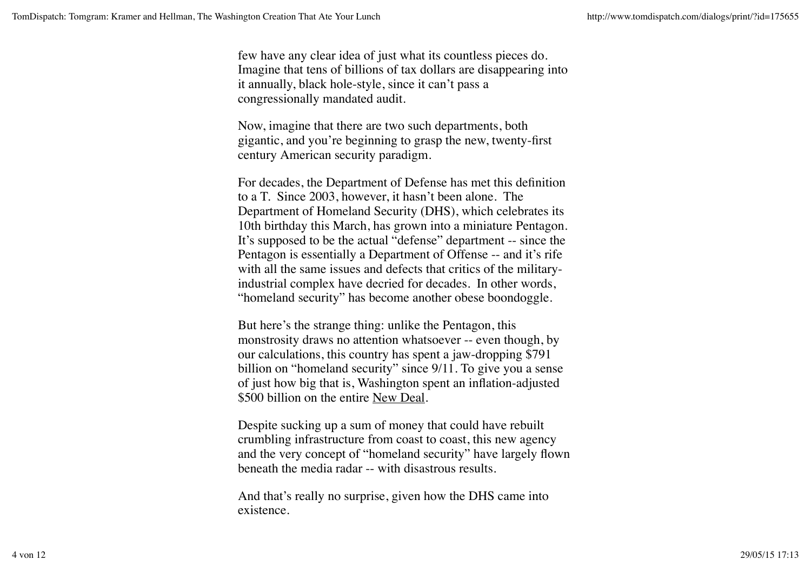few have any clear idea of just what its countless pieces do. Imagine that tens of billions of tax dollars are disappearing into it annually, black hole-style, since it can't pass a congressionally mandated audit.

Now, imagine that there are two such departments, both gigantic, and you're beginning to grasp the new, twenty-first century American security paradigm.

For decades, the Department of Defense has met this definition to a T. Since 2003, however, it hasn't been alone. The Department of Homeland Security (DHS), which celebrates its 10th birthday this March, has grown into a miniature Pentagon. It's supposed to be the actual "defense" department -- since the Pentagon is essentially a Department of Offense -- and it's rife with all the same issues and defects that critics of the militaryindustrial complex have decried for decades. In other words, "homeland security" has become another obese boondoggle.

But here's the strange thing: unlike the Pentagon, this monstrosity draws no attention whatsoever -- even though, by our calculations, this country has spent a jaw-dropping \$791 billion on "homeland security" since 9/11. To give you a sense of just how big that is, Washington spent an inflation-adjusted \$500 billion on the entire New Deal.

Despite sucking up a sum of money that could have rebuilt crumbling infrastructure from coast to coast, this new agency and the very concept of "homeland security" have largely flown beneath the media radar -- with disastrous results.

And that's really no surprise, given how the DHS came into existence.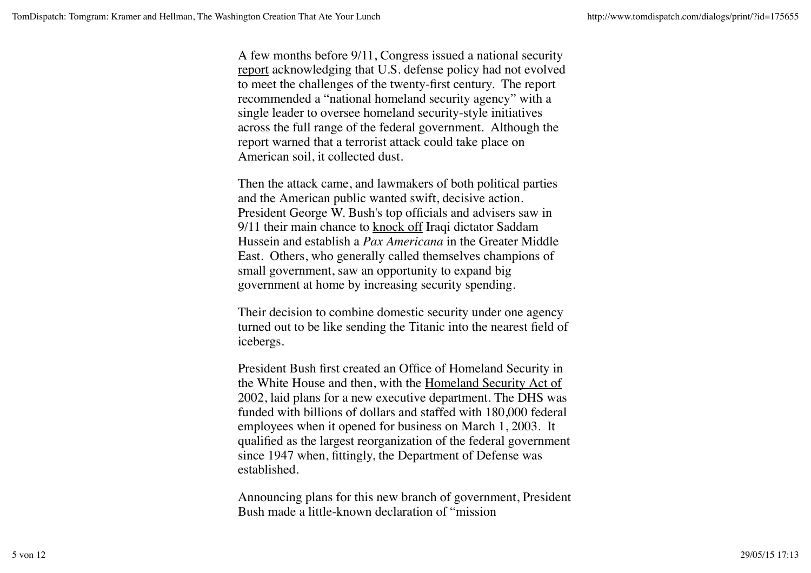A few months before 9/11, Congress issued a national security report acknowledging that U.S. defense policy had not evolved to meet the challenges of the twenty-first century. The report recommended a "national homeland security agency" with a single leader to oversee homeland security-style initiatives across the full range of the federal government. Although the report warned that a terrorist attack could take place on American soil, it collected dust.

Then the attack came, and lawmakers of both political parties and the American public wanted swift, decisive action. President George W. Bush's top officials and advisers saw in 9/11 their main chance to knock off Iraqi dictator Saddam Hussein and establish a *Pax Americana* in the Greater Middle East. Others, who generally called themselves champions of small government, saw an opportunity to expand big government at home by increasing security spending.

Their decision to combine domestic security under one agency turned out to be like sending the Titanic into the nearest field of icebergs.

President Bush first created an Office of Homeland Security in the White House and then, with the Homeland Security Act of 2002, laid plans for a new executive department. The DHS was funded with billions of dollars and staffed with 180,000 federal employees when it opened for business on March 1, 2003. It qualified as the largest reorganization of the federal government since 1947 when, fittingly, the Department of Defense was established.

Announcing plans for this new branch of government, President Bush made a little-known declaration of "mission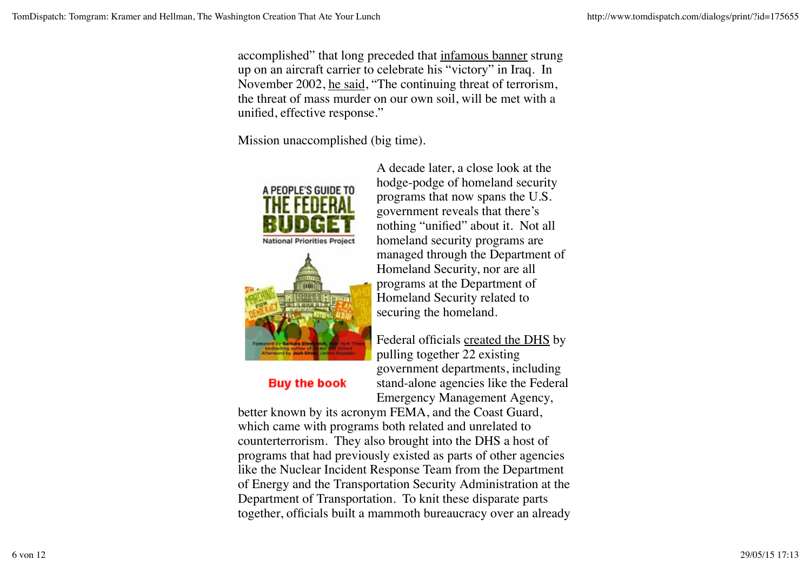accomplished" that long preceded that infamous banner strung up on an aircraft carrier to celebrate his "victory" in Iraq. In November 2002, he said, "The continuing threat of terrorism, the threat of mass murder on our own soil, will be met with a unified, effective response."

Mission unaccomplished (big time).





## **Buy the book**

A decade later, a close look at the hodge-podge of homeland security programs that now spans the U.S. government reveals that there's nothing "unified" about it. Not all homeland security programs are managed through the Department of Homeland Security, nor are all programs at the Department of Homeland Security related to securing the homeland.

Federal officials created the DHS by pulling together 22 existing government departments, including stand-alone agencies like the Federal Emergency Management Agency,

better known by its acronym FEMA, and the Coast Guard, which came with programs both related and unrelated to counterterrorism. They also brought into the DHS a host of programs that had previously existed as parts of other agencies like the Nuclear Incident Response Team from the Department of Energy and the Transportation Security Administration at the Department of Transportation. To knit these disparate parts together, officials built a mammoth bureaucracy over an already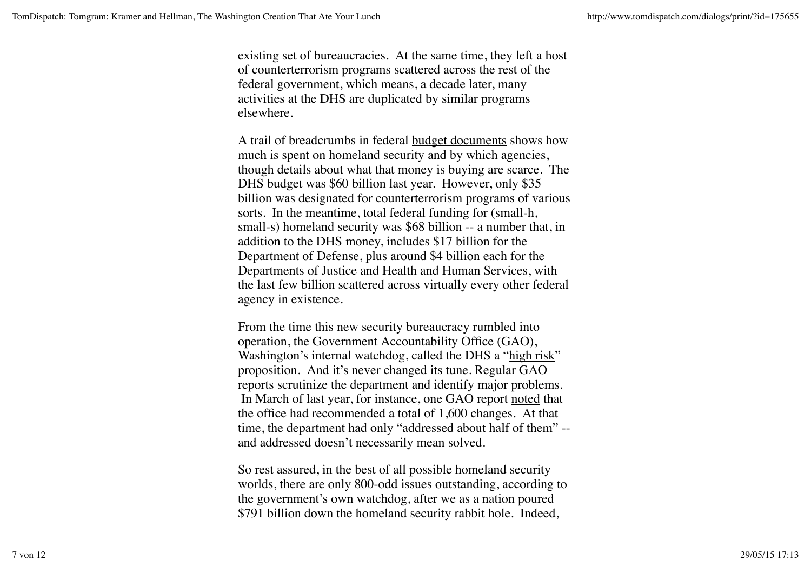existing set of bureaucracies. At the same time, they left a host of counterterrorism programs scattered across the rest of the federal government, which means, a decade later, many activities at the DHS are duplicated by similar programs elsewhere.

A trail of breadcrumbs in federal budget documents shows how much is spent on homeland security and by which agencies, though details about what that money is buying are scarce. The DHS budget was \$60 billion last year. However, only \$35 billion was designated for counterterrorism programs of various sorts. In the meantime, total federal funding for (small-h, small-s) homeland security was \$68 billion -- a number that, in addition to the DHS money, includes \$17 billion for the Department of Defense, plus around \$4 billion each for the Departments of Justice and Health and Human Services, with the last few billion scattered across virtually every other federal agency in existence.

From the time this new security bureaucracy rumbled into operation, the Government Accountability Office (GAO), Washington's internal watchdog, called the DHS a "high risk" proposition. And it's never changed its tune. Regular GAO reports scrutinize the department and identify major problems. In March of last year, for instance, one GAO report noted that the office had recommended a total of 1,600 changes. At that time, the department had only "addressed about half of them" - and addressed doesn't necessarily mean solved.

So rest assured, in the best of all possible homeland security worlds, there are only 800-odd issues outstanding, according to the government's own watchdog, after we as a nation poured \$791 billion down the homeland security rabbit hole. Indeed,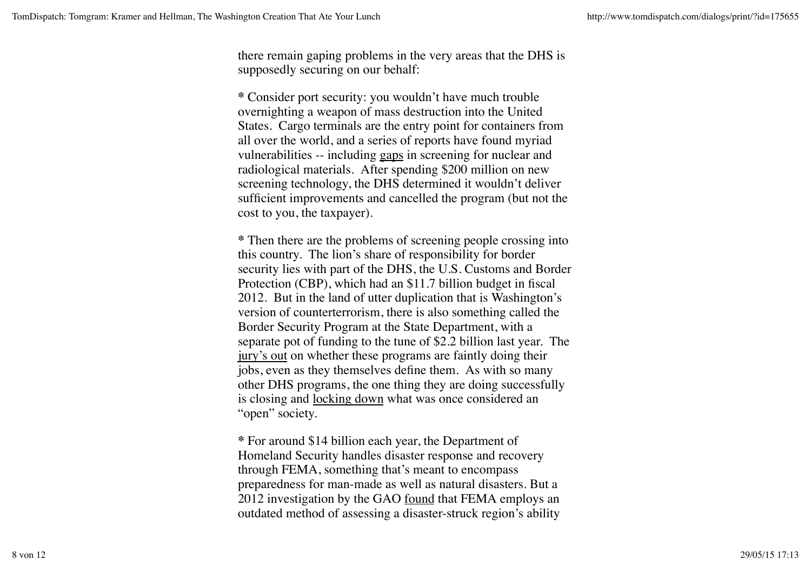there remain gaping problems in the very areas that the DHS is supposedly securing on our behalf:

**\*** Consider port security: you wouldn't have much trouble overnighting a weapon of mass destruction into the United States. Cargo terminals are the entry point for containers from all over the world, and a series of reports have found myriad vulnerabilities -- including gaps in screening for nuclear and radiological materials. After spending \$200 million on new screening technology, the DHS determined it wouldn't deliver sufficient improvements and cancelled the program (but not the cost to you, the taxpayer).

**\*** Then there are the problems of screening people crossing into this country. The lion's share of responsibility for border security lies with part of the DHS, the U.S. Customs and Border Protection (CBP), which had an \$11.7 billion budget in fiscal 2012. But in the land of utter duplication that is Washington's version of counterterrorism, there is also something called the Border Security Program at the State Department, with a separate pot of funding to the tune of \$2.2 billion last year. The jury's out on whether these programs are faintly doing their jobs, even as they themselves define them. As with so many other DHS programs, the one thing they are doing successfully is closing and locking down what was once considered an "open" society.

**\*** For around \$14 billion each year, the Department of Homeland Security handles disaster response and recovery through FEMA, something that's meant to encompass preparedness for man-made as well as natural disasters. But a 2012 investigation by the GAO <u>found</u> that FEMA employs an outdated method of assessing a disaster-struck region's ability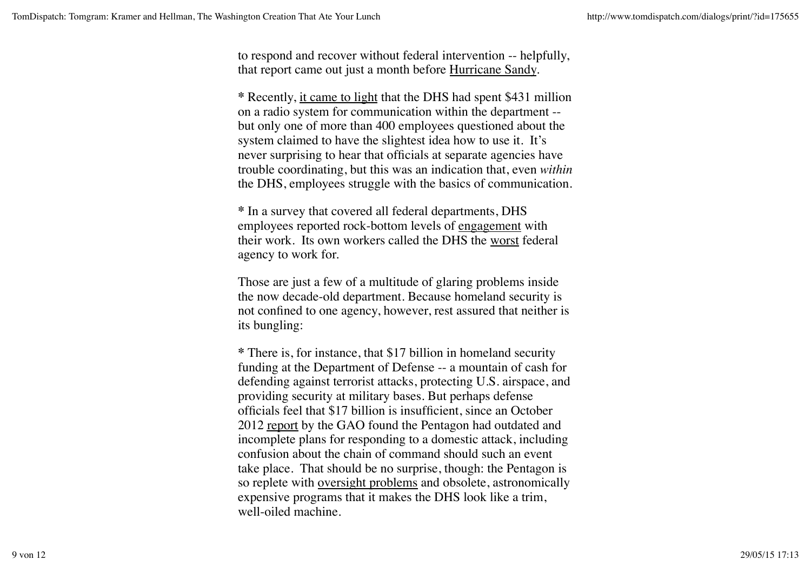to respond and recover without federal intervention -- helpfully, that report came out just a month before Hurricane Sandy.

**\*** Recently, it came to light that the DHS had spent \$431 million on a radio system for communication within the department - but only one of more than 400 employees questioned about the system claimed to have the slightest idea how to use it. It's never surprising to hear that officials at separate agencies have trouble coordinating, but this was an indication that, even *within* the DHS, employees struggle with the basics of communication.

**\*** In a survey that covered all federal departments, DHS employees reported rock-bottom levels of engagement with their work. Its own workers called the DHS the worst federal agency to work for.

Those are just a few of a multitude of glaring problems inside the now decade-old department. Because homeland security is not confined to one agency, however, rest assured that neither is its bungling:

**\*** There is, for instance, that \$17 billion in homeland security funding at the Department of Defense -- a mountain of cash for defending against terrorist attacks, protecting U.S. airspace, and providing security at military bases. But perhaps defense officials feel that \$17 billion is insufficient, since an October 2012 report by the GAO found the Pentagon had outdated and incomplete plans for responding to a domestic attack, including confusion about the chain of command should such an event take place. That should be no surprise, though: the Pentagon is so replete with oversight problems and obsolete, astronomically expensive programs that it makes the DHS look like a trim, well-oiled machine.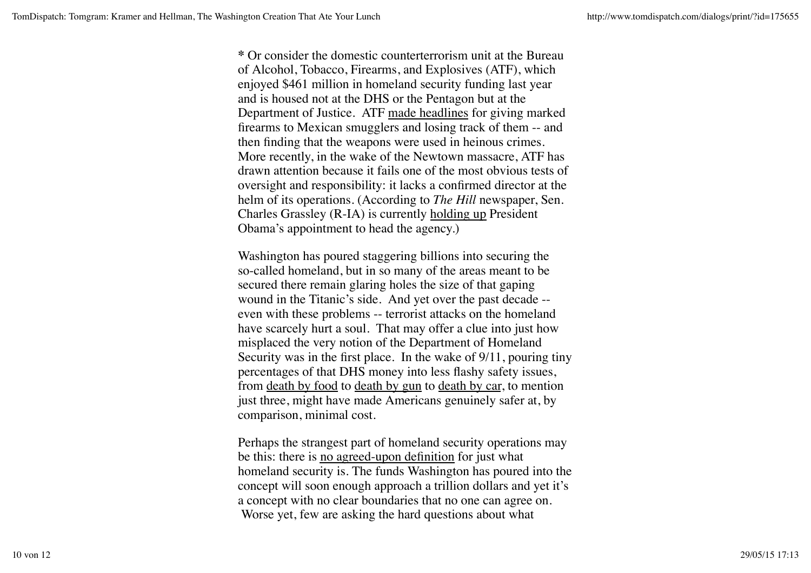**\*** Or consider the domestic counterterrorism unit at the Bureau of Alcohol, Tobacco, Firearms, and Explosives (ATF), which enjoyed \$461 million in homeland security funding last year and is housed not at the DHS or the Pentagon but at the Department of Justice. ATF made headlines for giving marked firearms to Mexican smugglers and losing track of them -- and then finding that the weapons were used in heinous crimes. More recently, in the wake of the Newtown massacre, ATF has drawn attention because it fails one of the most obvious tests of oversight and responsibility: it lacks a confirmed director at the helm of its operations. (According to *The Hill* newspaper, Sen. Charles Grassley (R-IA) is currently holding up President Obama's appointment to head the agency.)

Washington has poured staggering billions into securing the so-called homeland, but in so many of the areas meant to be secured there remain glaring holes the size of that gaping wound in the Titanic's side. And yet over the past decade - even with these problems -- terrorist attacks on the homeland have scarcely hurt a soul. That may offer a clue into just how misplaced the very notion of the Department of Homeland Security was in the first place. In the wake of 9/11, pouring tiny percentages of that DHS money into less flashy safety issues, from death by food to death by gun to death by car, to mention just three, might have made Americans genuinely safer at, by comparison, minimal cost.

Perhaps the strangest part of homeland security operations may be this: there is no agreed-upon definition for just what homeland security is. The funds Washington has poured into the concept will soon enough approach a trillion dollars and yet it's a concept with no clear boundaries that no one can agree on. Worse yet, few are asking the hard questions about what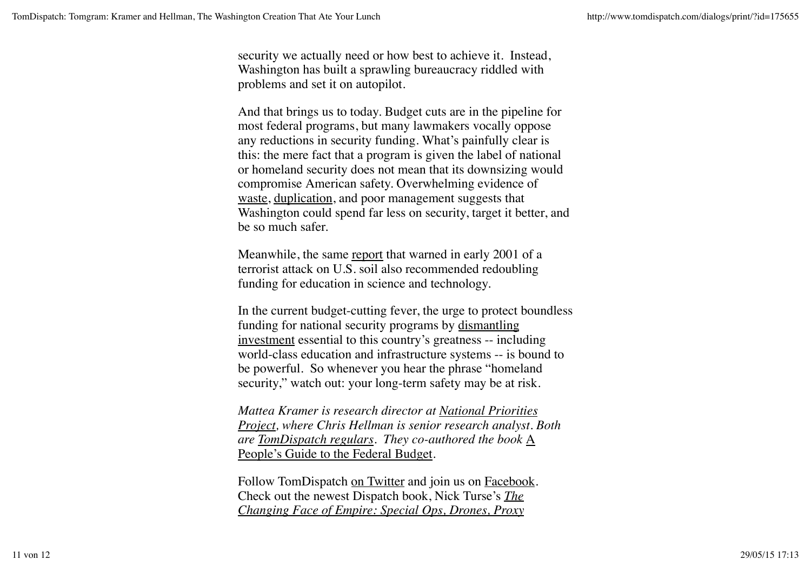security we actually need or how best to achieve it. Instead, Washington has built a sprawling bureaucracy riddled with problems and set it on autopilot.

And that brings us to today. Budget cuts are in the pipeline for most federal programs, but many lawmakers vocally oppose any reductions in security funding. What's painfully clear is this: the mere fact that a program is given the label of national or homeland security does not mean that its downsizing would compromise American safety. Overwhelming evidence of waste, duplication, and poor management suggests that Washington could spend far less on security, target it better, and be so much safer.

Meanwhile, the same report that warned in early 2001 of a terrorist attack on U.S. soil also recommended redoubling funding for education in science and technology.

In the current budget-cutting fever, the urge to protect boundless funding for national security programs by dismantling investment essential to this country's greatness -- including world-class education and infrastructure systems -- is bound to be powerful. So whenever you hear the phrase "homeland security," watch out: your long-term safety may be at risk.

*Mattea Kramer is research director at National Priorities Project, where Chris Hellman is senior research analyst. Both are TomDispatch regulars. They co-authored the book* A People's Guide to the Federal Budget*.*

Follow TomDispatch on Twitter and join us on Facebook. Check out the newest Dispatch book, Nick Turse's *The Changing Face of Empire: Special Ops, Drones, Proxy*